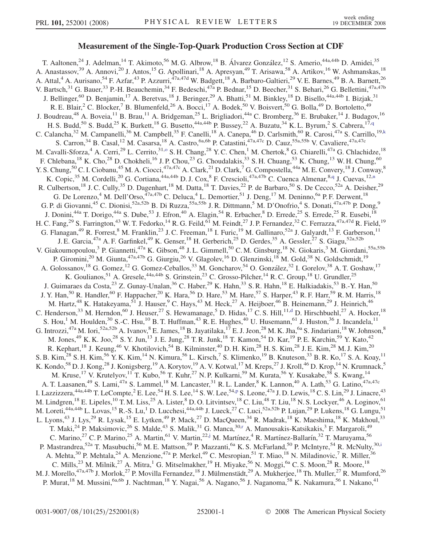## Measurement of the Single-Top-Quark Production Cross Section at CDF

T. Aaltonen,<sup>24</sup> J. Adelman,<sup>14</sup> T. Akimoto,<sup>56</sup> M. G. Albrow,<sup>18</sup> B. Álvarez González,<sup>12</sup> S. Amerio,<sup>44a,44b</sup> D. Amidei,<sup>35</sup> A. Anastassov,<sup>39</sup> A. Annovi,<sup>20</sup> J. Antos,<sup>15</sup> G. Apollinari,<sup>18</sup> A. Apresyan,<sup>49</sup> T. Arisawa,<sup>58</sup> A. Artikov,<sup>16</sup> W. Ashmanskas,<sup>18</sup> A. Attal,<sup>4</sup> A. Aurisano,<sup>54</sup> F. Azfar,<sup>43</sup> P. Azzurri,<sup>47a,47d</sup> W. Badgett,<sup>18</sup> A. Barbaro-Galtieri,<sup>29</sup> V. E. Barnes,<sup>49</sup> B. A. Barnett,<sup>26</sup> V. Bartsch,<sup>31</sup> G. Bauer,<sup>33</sup> P.-H. Beauchemin,<sup>34</sup> F. Bedeschi,<sup>47a</sup> P. Bednar,<sup>15</sup> D. Beecher,<sup>31</sup> S. Behari,<sup>26</sup> G. Bellettini,<sup>47a,47b</sup> J. Bellinger,<sup>60</sup> D. Benjamin,<sup>17</sup> A. Beretvas,<sup>18</sup> J. Beringer,<sup>29</sup> A. Bhatti,<sup>51</sup> M. Binkley,<sup>18</sup> D. Bisello,<sup>44a,44b</sup> I. Bizjak,<sup>31</sup> R. E. Blair,<sup>2</sup> C. Blocker,<sup>7</sup> B. Blumenfeld,<sup>26</sup> A. Bocci,<sup>17</sup> A. Bodek,<sup>50</sup> V. Boisvert,<sup>50</sup> G. Bolla,<sup>49</sup> D. Bortoletto,<sup>49</sup> J. Boudreau,<sup>48</sup> A. Boveia,<sup>11</sup> B. Brau,<sup>11</sup> A. Bridgeman,<sup>25</sup> L. Brigliadori,<sup>44a</sup> C. Bromberg,<sup>36</sup> E. Brubaker,<sup>14</sup> J. Budagov,<sup>16</sup> H. S. Budd,<sup>50</sup> S. Budd,<sup>25</sup> K. Burkett,<sup>18</sup> G. Busetto,<sup>44a,44b</sup> P. Bussey,<sup>22</sup> A. Buzatu,<sup>34</sup> K. L. Byrum,<sup>2</sup> S. Cabrera,<sup>17[,q](#page-6-0)</sup> C. Calancha,<sup>32</sup> M. Campanelli,<sup>36</sup> M. Campbell,<sup>35</sup> F. Canelli,<sup>18</sup> A. Canepa,<sup>46</sup> D. Carlsmith,<sup>60</sup> R. Carosi,<sup>47a</sup> S. Carrillo,<sup>19[,k](#page-6-0)</sup> S. Carron,<sup>34</sup> B. Casal,<sup>12</sup> M. Casarsa,<sup>18</sup> A. Castro,<sup>6a,6b</sup> P. Catastini,<sup>47a,47c</sup> D. Cauz,<sup>55a,55b</sup> V. Cavaliere,<sup>47a,47c</sup> M. Cavalli-Sforza,<sup>4</sup> A. Cerri,<sup>29</sup> L. Cerrito,<sup>31,0</sup> S. H. Chang,<sup>28</sup> Y. C. Chen,<sup>1</sup> M. Chertok,<sup>8</sup> G. Chiarelli,<sup>47a</sup> G. Chlachidze,<sup>18</sup> F. Chlebana,<sup>18</sup> K. Cho,<sup>28</sup> D. Chokheli,<sup>16</sup> J. P. Chou,<sup>23</sup> G. Choudalakis,<sup>33</sup> S. H. Chuang,<sup>53</sup> K. Chung,<sup>13</sup> W. H. Chung,<sup>60</sup> Y. S. Chung, <sup>50</sup> C. I. Ciobanu, <sup>45</sup> M. A. Ciocci, <sup>47a, 47c</sup> A. Clark, <sup>21</sup> D. Clark, <sup>7</sup> G. Compostella, <sup>44a</sup> M. E. Convery, <sup>18</sup> J. Conway, <sup>8</sup> K. Copic,<sup>35</sup> M. Cordelli,<sup>20</sup> G. Cortiana,<sup>44a,44b</sup> D. J. Cox,<sup>8</sup> F. Crescioli,<sup>47a,47b</sup> C. Cuenca Almenar,<sup>8[,q](#page-6-0)</sup> J. Cuevas,<sup>12,[n](#page-6-0)</sup> R. Culbertson,<sup>18</sup> J. C. Cully,<sup>35</sup> D. Dagenhart,<sup>18</sup> M. Datta,<sup>18</sup> T. Davies,<sup>22</sup> P. de Barbaro,<sup>50</sup> S. De Cecco,<sup>52a</sup> A. Deisher,<sup>29</sup> G. De Lorenzo,<sup>4</sup> M. Dell'Orso,<sup>47a,47b</sup> C. Deluca,<sup>4</sup> L. Demortier,<sup>51</sup> J. Deng,<sup>17</sup> M. Deninno,<sup>6a</sup> P. F. Derwent,<sup>18</sup> G. P. di Giovanni,<sup>45</sup> C. Dionisi,<sup>52a,52b</sup> B. Di Ruzza,<sup>55a,55b</sup> J. R. Dittmann,<sup>5</sup> M. D'Onofrio,<sup>4</sup> S. Donati,<sup>47a,47b</sup> P. Dong,<sup>9</sup> J. Donini,<sup>44a</sup> T. Dorigo,<sup>44a</sup> S. Dube,<sup>53</sup> J. Efron,<sup>40</sup> A. Elagin,<sup>54</sup> R. Erbacher,<sup>8</sup> D. Errede,<sup>25</sup> S. Errede,<sup>25</sup> R. Eusebi,<sup>18</sup> H. C. Fang,<sup>29</sup> S. Farrington,<sup>43</sup> W. T. Fedorko,<sup>14</sup> R. G. Feild,<sup>61</sup> M. Feindt,<sup>27</sup> J. P. Fernandez,<sup>32</sup> C. Ferrazza,<sup>47a,47d</sup> R. Field,<sup>19</sup> G. Flanagan,<sup>49</sup> R. Forrest,<sup>8</sup> M. Franklin,<sup>23</sup> J. C. Freeman,<sup>18</sup> I. Furic,<sup>19</sup> M. Gallinaro,<sup>52a</sup> J. Galyardt,<sup>13</sup> F. Garberson,<sup>11</sup> J. E. Garcia,<sup>47a</sup> A. F. Garfinkel,<sup>49</sup> K. Genser,<sup>18</sup> H. Gerberich,<sup>25</sup> D. Gerdes,<sup>35</sup> A. Gessler,<sup>27</sup> S. Giagu,<sup>52a,52b</sup> V. Giakoumopoulou,<sup>3</sup> P. Giannetti,<sup>47a</sup> K. Gibson,<sup>48</sup> J.L. Gimmell,<sup>50</sup> C.M. Ginsburg,<sup>18</sup> N. Giokaris,<sup>3</sup> M. Giordani,<sup>55a,55b</sup> P. Giromini,<sup>20</sup> M. Giunta,<sup>47a,47b</sup> G. Giurgiu,<sup>26</sup> V. Glagolev,<sup>16</sup> D. Glenzinski,<sup>18</sup> M. Gold,<sup>38</sup> N. Goldschmidt,<sup>19</sup> A. Golossanov,<sup>18</sup> G. Gomez,<sup>12</sup> G. Gomez-Ceballos,<sup>33</sup> M. Goncharov,<sup>54</sup> O. González,<sup>32</sup> I. Gorelov,<sup>38</sup> A. T. Goshaw,<sup>17</sup> K. Goulianos,<sup>51</sup> A. Gresele,<sup>44a,44b</sup> S. Grinstein,<sup>23</sup> C. Grosso-Pilcher,<sup>14</sup> R. C. Group,<sup>18</sup> U. Grundler,<sup>25</sup> J. Guimaraes da Costa,<sup>23</sup> Z. Gunay-Unalan,<sup>36</sup> C. Haber,<sup>29</sup> K. Hahn,<sup>33</sup> S. R. Hahn,<sup>18</sup> E. Halkiadakis,<sup>53</sup> B.-Y. Han,<sup>50</sup> J. Y. Han,<sup>50</sup> R. Handler,<sup>60</sup> F. Happacher,<sup>20</sup> K. Hara,<sup>56</sup> D. Hare,<sup>53</sup> M. Hare,<sup>57</sup> S. Harper,<sup>43</sup> R. F. Harr,<sup>59</sup> R. M. Harris,<sup>18</sup> M. Hartz,<sup>48</sup> K. Hatakeyama,<sup>51</sup> J. Hauser,<sup>9</sup> C. Hays,<sup>43</sup> M. Heck,<sup>27</sup> A. Heijboer,<sup>46</sup> B. Heinemann,<sup>29</sup> J. Heinrich,<sup>46</sup> C. Henderson,<sup>33</sup> M. Herndon,<sup>60</sup> J. Heuser,<sup>27</sup> S. Hewamanage,<sup>5</sup> D. Hidas,<sup>17</sup> C. S. Hill,<sup>11[,d](#page-6-0)</sup> D. Hirschbuehl,<sup>27</sup> A. Hocker,<sup>18</sup> S. Hou,<sup>1</sup> M. Houlden,<sup>30</sup> S.-C. Hsu,<sup>10</sup> B. T. Huffman,<sup>43</sup> R. E. Hughes,<sup>40</sup> U. Husemann,<sup>61</sup> J. Huston,<sup>36</sup> J. Incandela,<sup>11</sup> G. Introzzi,<sup>47a</sup> M. Iori,<sup>52a,52b</sup> A. Ivanov, <sup>8</sup> E. James, <sup>18</sup> B. Jayatilaka, <sup>17</sup> E. J. Jeon, <sup>28</sup> M. K. Jha, <sup>6a</sup> S. Jindariani, <sup>18</sup> W. Johnson, <sup>8</sup> M. Jones,<sup>49</sup> K. K. Joo,<sup>28</sup> S. Y. Jun,<sup>13</sup> J. E. Jung,<sup>28</sup> T. R. Junk,<sup>18</sup> T. Kamon,<sup>54</sup> D. Kar,<sup>19</sup> P. E. Karchin,<sup>59</sup> Y. Kato,<sup>42</sup> R. Kephart,<sup>18</sup> J. Keung,<sup>46</sup> V. Khotilovich,<sup>54</sup> B. Kilminster,<sup>40</sup> D. H. Kim,<sup>28</sup> H. S. Kim,<sup>28</sup> J. E. Kim,<sup>28</sup> M. J. Kim,<sup>20</sup> S. B. Kim,  $^{28}$  S. H. Kim,  $^{56}$  Y. K. Kim,  $^{14}$  N. Kimura,  $^{56}$  L. Kirsch,  $^7$  S. Klimenko,  $^{19}$  B. Knuteson,  $^{33}$  B. R. Ko,  $^{17}$  S. A. Koay,  $^{11}$ K. Kondo,<sup>58</sup> D. J. Kong,<sup>28</sup> J. Konigsberg,<sup>19</sup> A. Korytov,<sup>19</sup> A. V. Kotwal,<sup>17</sup> M. Kreps,<sup>27</sup> J. Kroll,<sup>46</sup> D. Krop,<sup>14</sup> N. Krumnack,<sup>5</sup> M. Kruse,<sup>17</sup> V. Krutelyov,<sup>11</sup> T. Kubo,<sup>56</sup> T. Kuhr,<sup>27</sup> N. P. Kulkarni,<sup>59</sup> M. Kurata,<sup>56</sup> Y. Kusakabe,<sup>58</sup> S. Kwang,<sup>14</sup> A. T. Laasanen,<sup>49</sup> S. Lami,<sup>47a</sup> S. Lammel,<sup>18</sup> M. Lancaster,<sup>31</sup> R. L. Lander,<sup>8</sup> K. Lannon,<sup>40</sup> A. Lath,<sup>53</sup> G. Latino,<sup>47a,47c</sup> I. Lazzizzera, $^{44a,44b}$  T. LeCom[p](#page-6-0)te, $^2$  E. Lee, $^{54}$  H. S. Lee, $^{14}$  S. W. Lee, $^{54,p}$  S. Leone, $^{47a}$  J. D. Lewis, $^{18}$  C. S. Lin, $^{29}$  J. Linacre, $^{43}$ M. Lindgren,<sup>18</sup> E. Lipeles,<sup>10</sup> T. M. Liss,<sup>25</sup> A. Lister,<sup>8</sup> D. O. Litvintsev,<sup>18</sup> C. Liu,<sup>48</sup> T. Liu,<sup>18</sup> N. S. Lockyer,<sup>46</sup> A. Loginov,<sup>61</sup> M. Loreti,<sup>44a,44b</sup> L. Lovas,<sup>15</sup> R.-S. Lu,<sup>1</sup> D. Lucchesi,<sup>44a,44b</sup> J. Lueck,<sup>27</sup> C. Luci,<sup>52a,52b</sup> P. Lujan,<sup>29</sup> P. Lukens,<sup>18</sup> G. Lungu,<sup>51</sup> L. Lyons,<sup>43</sup> J. Lys,<sup>29</sup> R. Lysak,<sup>15</sup> E. Lytken,<sup>49</sup> P. Mack,<sup>27</sup> D. MacQueen,<sup>34</sup> R. Madrak,<sup>18</sup> K. Maeshima,<sup>18</sup> K. Makhoul,<sup>33</sup> T. Maki,<sup>24</sup> P. Maksimovic,<sup>26</sup> S. Malde,<sup>43</sup> S. Malik,<sup>31</sup> G. Manca,<sup>30,[r](#page-6-0)</sup> A. Manousakis-Katsikakis,<sup>3</sup> F. Margaroli,<sup>49</sup> C. Marino,<sup>27</sup> C. P. Marino,<sup>25</sup> A. Martin,<sup>61</sup> V. Martin,<sup>22[,j](#page-6-0)</sup> M. Martínez,<sup>4</sup> R. Martínez-Ballarín,<sup>32</sup> T. Maruyama,<sup>56</sup> P. Mastrandrea,<sup>52a</sup> T. Masubuchi,<sup>56</sup> M. E. Mattson,<sup>59</sup> P. Mazzanti,<sup>6a</sup> K. S. McFarland,<sup>50</sup> P. McIntyre,<sup>54</sup> R. McNulty,<sup>30[,i](#page-6-0)</sup> A. Mehta,<sup>30</sup> P. Mehtala,<sup>24</sup> A. Menzione,<sup>47a</sup> P. Merkel,<sup>49</sup> C. Mesropian,<sup>51</sup> T. Miao,<sup>18</sup> N. Miladinovic,<sup>7</sup> R. Miller,<sup>36</sup> C. Mills,<sup>23</sup> M. Milnik,<sup>27</sup> A. Mitra,<sup>1</sup> G. Mitselmakher,<sup>19</sup> H. Miyake,<sup>56</sup> N. Moggi,<sup>6a</sup> C. S. Moon,<sup>28</sup> R. Moore,<sup>18</sup> M. J. Morello,<sup>47a,47b</sup> J. Morlok,<sup>27</sup> P. Movilla Fernandez,<sup>18</sup> J. Mülmenstädt,<sup>29</sup> A. Mukherjee,<sup>18</sup> Th. Muller,<sup>27</sup> R. Mumford,<sup>26</sup> P. Murat,<sup>18</sup> M. Mussini,<sup>6a,6b</sup> J. Nachtman,<sup>18</sup> Y. Nagai,<sup>56</sup> A. Nagano,<sup>56</sup> J. Naganoma,<sup>58</sup> K. Nakamura,<sup>56</sup> I. Nakano,<sup>41</sup>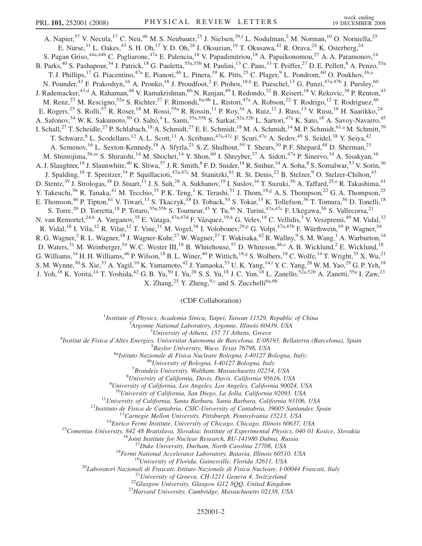A. Napier,<sup>57</sup> V. Necula,<sup>17</sup> C. Neu,<sup>46</sup> M. S. Neubauer,<sup>25</sup> J. Nielsen,<sup>29,[f](#page-6-0)</sup> L. Nodulman,<sup>2</sup> M. Norman,<sup>10</sup> O. Norniella,<sup>25</sup> E. Nurse,  $31$  L. Oakes,  $43$  S. H. Oh,  $17$  Y. D. Oh,  $28$  I. Oksuzian,  $19$  T. Okusawa,  $42$  R. Orava,  $24$  K. Osterberg,  $24$ S. Pagan Griso,<sup>44a,44b</sup> C. Pagliarone,<sup>47a</sup> E. Palencia,<sup>18</sup> V. Papadimitriou,<sup>18</sup> A. Papaikonomou,<sup>27</sup> A. A. Paramonov,<sup>14</sup> B. Parks,<sup>40</sup> S. Pashapour,<sup>34</sup> J. Patrick,<sup>18</sup> G. Pauletta,<sup>55a,55b</sup> M. Paulini,<sup>13</sup> C. Paus,<sup>33</sup> T. Peiffer,<sup>27</sup> D. E. Pellett,<sup>8</sup> A. Penzo,<sup>55a</sup> T. J. Phillips,<sup>17</sup> G. Piacentino,<sup>47a</sup> E. Pianori,<sup>46</sup> L. Pinera,<sup>19</sup> K. Pitts,<sup>25</sup> C. Plager,<sup>9</sup> L. Pondrom,<sup>60</sup> O. Poukhov,<sup>16[,a](#page-6-0)</sup> N. Pounder,<sup>43</sup> F. Prakoshyn,<sup>16</sup> A. Pronko,<sup>18</sup> J. Proudfoot,<sup>2</sup> F. Ptohos,<sup>18[,h](#page-6-0)</sup> E. Pueschel,<sup>13</sup> G. Punzi,<sup>47a,47b</sup> J. Pursley,<sup>60</sup> J. Ra[d](#page-6-0)emacker,<sup>43,d</sup> A. Rahaman,<sup>48</sup> V. Ramakrishnan,<sup>60</sup> N. Ranjan,<sup>49</sup> I. Redondo,<sup>32</sup> B. Reisert,<sup>18</sup> V. Rekovic,<sup>38</sup> P. Renton,<sup>43</sup> M. Renz,<sup>27</sup> M. Rescigno,<sup>52a</sup> S. Richter,<sup>27</sup> F. Rimondi,<sup>6a,6b</sup> L. Ristori,<sup>47a</sup> A. Robson,<sup>22</sup> T. Rodrigo,<sup>12</sup> T. Rodriguez,<sup>46</sup> E. Rogers,<sup>25</sup> S. Rolli,<sup>57</sup> R. Roser,<sup>18</sup> M. Rossi,<sup>55a</sup> R. Rossin,<sup>11</sup> P. Roy,<sup>34</sup> A. Ruiz,<sup>12</sup> J. Russ,<sup>13</sup> V. Rusu,<sup>18</sup> H. Saarikko,<sup>24</sup> A. Safonov,<sup>54</sup> W. K. Sakumoto,<sup>50</sup> O. Saltó,<sup>4</sup> L. Santi,<sup>55a,55b</sup> S. Sarkar,<sup>52a,52b</sup> L. Sartori,<sup>47a</sup> K. Sato,<sup>18</sup> A. Savoy-Navarro,<sup>45</sup> I. Schall,<sup>27</sup> T. Scheidle,<sup>27</sup> P. Schlabach,<sup>18</sup> A. Schmidt,<sup>27</sup> E. E. Schmidt,<sup>18</sup> M. A. Schmidt,<sup>14</sup> M. P. Schmidt,<sup>61[,a](#page-6-0)</sup> M. Schmitt,<sup>39</sup> T. Schwarz, <sup>8</sup> L. Scodellaro,<sup>12</sup> A. L. Scott,<sup>11</sup> A. Scribano,<sup>47a,47c</sup> F. Scuri,<sup>47a</sup> A. Sedov,<sup>49</sup> S. Seidel,<sup>38</sup> Y. Seiya,<sup>42</sup> A. Semenov,<sup>16</sup> L. Sexton-Kennedy,<sup>18</sup> A. Sfyrla,<sup>21</sup> S. Z. Shalhout,<sup>59</sup> T. Shears,<sup>30</sup> P. F. Shepard,<sup>48</sup> D. Sherman,<sup>23</sup> M. Shimojima,<sup>56[,m](#page-6-0)</sup> S. Shiraishi,<sup>14</sup> M. Shochet,<sup>14</sup> Y. Shon,<sup>60</sup> I. Shreyber,<sup>37</sup> A. Sidoti,<sup>47a</sup> P. Sinervo,<sup>34</sup> A. Sisakyan,<sup>16</sup> A. J. Slaughter,<sup>18</sup> J. Slaunwhite,<sup>40</sup> K. Sliwa,<sup>57</sup> J. R. Smith,<sup>8</sup> F. D. Snider,<sup>18</sup> R. Snihur,<sup>34</sup> A. Soha,<sup>8</sup> S. Somalwar,<sup>53</sup> V. Sorin,<sup>36</sup> J. Spalding,<sup>18</sup> T. Spreitzer,<sup>34</sup> P. Squillacioti,<sup>47a,47c</sup> M. Stanitzki,<sup>61</sup> R. St. Denis,<sup>22</sup> B. Stelzer,<sup>9</sup> O. Stelzer-Chilton,<sup>43</sup> D. Stentz,<sup>39</sup> J. Strologas,<sup>38</sup> D. Stuart,<sup>11</sup> J. S. Suh,<sup>28</sup> A. Sukhanov,<sup>19</sup> I. Suslov,<sup>16</sup> T. Suzuki,<sup>56</sup> A. Taffard,<sup>25[,e](#page-6-0)</sup> R. Takashima,<sup>41</sup> Y. Takeuchi,<sup>56</sup> R. Tanaka,<sup>41</sup> M. Tecchio,<sup>35</sup> P. K. Teng,<sup>1</sup> K. Terashi,<sup>51</sup> J. Thom,<sup>18[,g](#page-6-0)</sup> A. S. Thompson,<sup>22</sup> G. A. Thompson,<sup>25</sup> E. Thomson,<sup>46</sup> P. Tipton,<sup>61</sup> V. Tiwari,<sup>13</sup> S. Tkaczyk,<sup>18</sup> D. Toback,<sup>54</sup> S. Tokar,<sup>15</sup> K. Tollefson,<sup>36</sup> T. Tomura,<sup>56</sup> D. Tonelli,<sup>18</sup> S. Torre,<sup>20</sup> D. Torretta,<sup>18</sup> P. Totaro,<sup>55a,55b</sup> S. Tourneur,<sup>45</sup> Y. Tu,<sup>46</sup> N. Turini,<sup>47a,47c</sup> F. Ukegawa,<sup>56</sup> S. Vallecorsa,<sup>21</sup> N. van Remortel,<sup>24,[b](#page-6-0)</sup> A. Varganov,<sup>35</sup> E. Vataga,<sup>47a,47d</sup> F. Vázquez,<sup>19[,k](#page-6-0)</sup> G. Velev,<sup>18</sup> C. Vellidis,<sup>3</sup> V. Veszpremi,<sup>49</sup> M. Vidal,<sup>32</sup> R. Vidal,<su[p](#page-6-0)>18</sup> I. Vila,<sup>12</sup> R. Vilar,<sup>12</sup> T. Vine,<sup>31</sup> M. Vogel,<sup>38</sup> I. Volobouev,<sup>29,p</sup> G. Volpi,<sup>47a,47b</sup> F. Würthwein,<sup>10</sup> P. Wagner,<sup>54</sup> R. G. Wagner,<sup>2</sup> R. L. Wagner,<sup>18</sup> J. Wagner-Kuhr,<sup>27</sup> W. Wagner,<sup>27</sup> T. Wakisaka,<sup>42</sup> R. Wallny,<sup>9</sup> S. M. Wang,<sup>1</sup> A. Warburton,<sup>34</sup> D. Waters,<sup>31</sup> M. Weinberger,<sup>54</sup> W. C. Wester III,<sup>18</sup> B. Whitehouse,<sup>57</sup> D. Whiteson,<sup>46[,e](#page-6-0)</sup> A. B. Wicklund,<sup>2</sup> E. Wicklund,<sup>18</sup> G. Williams, <sup>34</sup> H. H. Williams, <sup>46</sup> P. Wilson, <sup>18</sup> B. L. Winer, <sup>40</sup> P. Wittich, <sup>18,[g](#page-6-0)</sup> S. Wolbers, <sup>18</sup> C. Wolfe, <sup>14</sup> T. Wright, <sup>35</sup> X. Wu, <sup>21</sup> S. M. Wynne,<sup>30</sup> S. Xie,<sup>33</sup> A. Yagi[l](#page-6-0),<sup>10</sup> K. Yamamoto,<sup>42</sup> J. Yamaoka,<sup>53</sup> U.K. Yang,<sup>14,1</sup> Y.C. Yang,<sup>28</sup> W.M. Yao,<sup>29</sup> G.P. Yeh,<sup>18</sup> J. Yoh,<sup>18</sup> K. Yorita,<sup>14</sup> T. Yoshida,<sup>42</sup> G. B. Yu,<sup>50</sup> I. Yu,<sup>28</sup> S. S. Yu,<sup>18</sup> J. C. Yun,<sup>18</sup> L. Zanello,<sup>52a,52b</sup> A. Zanetti,<sup>55a</sup> I. Zaw,<sup>23</sup> X. Zhang,<sup>25</sup> Y. Zheng,<sup>9,[c](#page-6-0)</sup> and S. Zucchelli<sup>6a,6b</sup>

(CDF Collaboration)

<sup>1</sup>Institute of Physics, Academia Sinica, Taipei, Taiwan 11529, Republic of China<br><sup>2</sup>Argonna National Laboratory, Argonna Illinois 60430, USA

 $A$ rgonne National Laboratory, Argonne, Illinois 60439, USA<br> $3$ University of Athens, 157 71 Athens, Greece

<sup>3</sup>University of Athens, 157 71 Athens, Greece  $\frac{4}{3}$  University of Athens, 157 71 Athens, Greece

Institut de Fisica d'Altes Energies, Universitat Autonoma de Barcelona, E-08193, Bellaterra (Barcelona), Spain <sup>5</sup>

 $^{5}$ Baylor University, Waco, Texas 76798, USA<br><sup>6a</sup>Istituto Nazionale di Fisica Nucleare Bologna, I-40127 Bologna, Italy;<br><sup>6b</sup>University of Bologna, I-40127 Bologna, Italy

 ${}^{7}$ Brandeis University, Waltham, Massachusetts 02254, USA

<sup>8</sup>University of California, Davis, Davis, California 95616, USA

<sup>9</sup>University of California, Los Angeles, Los Angeles, California 90024, USA<br><sup>10</sup>University of California, San Diego, La Jolla, California 92093, USA

<sup>10</sup>University of California, San Diego, La Jolla, California 92093, USA<br>
<sup>11</sup>University of California, Santa Barbara, Santa Barbara, California 93106, USA<br>
<sup>12</sup>Instituto de Eisica de Cantabria, CSIC-University of Catidor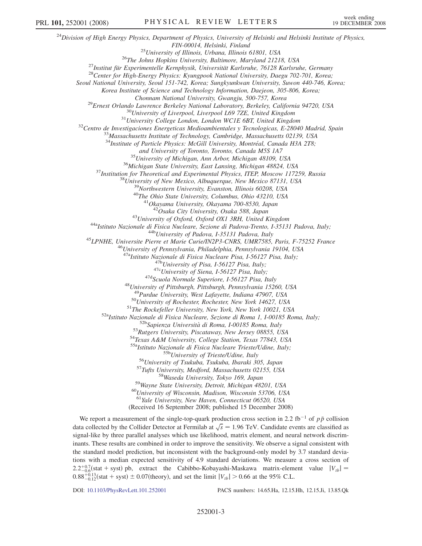$^{24}$ Division of High Energy Physics, Department of Physics, University of Helsinki and Helsinki Institute of Physics, FIN-00014, Helsinki, Finland<br><sup>25</sup>University of Illinois, Urbana, Illinois 61801, USA<br><sup>26</sup>The Johns Hopkins University, Baltimore, Maryland 21218, USA<br><sup>27</sup>Institut für Experimentelle Kernphysik, Universität Karlsruhe, 76128 Seoul National University, Seoul 151-742, Korea; Sungkyunkwan University, Suwon 440-746, Korea; Korea Institute of Science and Technology Information, Daejeon, 305-806, Korea; Chonnam National University, Gwangju, 500-757, Korea<br><sup>29</sup>Ernest Orlando Lawrence Berkeley National Laboratory, Berkeley, California 94720, USA<br><sup>30</sup>University of Liverpool, Liverpool L69 7ZE, United Kingdom<br><sup>31</sup>University <sup>34</sup>Institute of Particle Physics: McGill University, Montréal, Canada H3A 2T8; and University of Toronto, Toronto, Canada M5S 1A7<br><sup>35</sup> University of Michigan, Ann Arbor, Michigan 48109, USA<br><sup>36</sup> Michigan State University, East Lansing, Michigan 48824, USA<br><sup>37</sup> Institution for Theoretical and Experim <sup>43</sup>University of Oxford, Oxford OX1 3RH, United Kingdom<br><sup>44a</sup>Istituto Nazionale di Fisica Nucleare, Sezione di Padova-Trento, I-35131 Padova, Italy;<br><sup>44b</sup>University of Padova, I-35131 Padova, Italy<br><sup>45</sup>LPNHE, Universite <sup>47a</sup>Istituto Nazionale di Fisica Nucleare Pisa, I-56127 Pisa, Italy;<br><sup>47b</sup>University of Pisa, I-56127 Pisa, Italy;<br><sup>47c</sup>University of Siena, I-56127 Pisa, Italy;<br><sup>47d</sup>Scuola Normale Superiore, I-56127 Pisa, Italy<br><sup>48</sup>Uni <sup>50</sup>University of Rochester, Rochester, New York 14627, USA<br><sup>51</sup>The Rockefeller University, New York, New York 10021, USA<br><sup>52a</sup>Istituto Nazionale di Fisica Nucleare, Sezione di Roma 1, I-00185 Roma, Italy;<br><sup>52b</sup>Sapienza U <sup>55b</sup>University of Trieste/Udine, Italy<br><sup>56</sup>University of Tsukuba, Tsukuba, Ibaraki 305, Japan<br><sup>57</sup>Tufts University, Medford, Massachusetts 02155, USA<br><sup>58</sup>Wayne State University, Tokyo 169, Japan<br><sup>59</sup>Wayne State Universit <sup>61</sup>Yale University, New Haven, Connecticut 06520, USA (Received 16 September 2008; published 15 December 2008) We report a measurement of the single-top-quark production cross section in 2.2 fb<sup>-1</sup> of  $p\bar{p}$  collision

data collected by the Collider Detector at Fermilab at  $\sqrt{s}$  = 1.96 TeV. Candidate events are classified as signal-like by three parallel analyses which use likelihood, matrix element, and neural network discriminants. These results are combined in order to improve the sensitivity. We observe a signal consistent with the standard model prediction, but inconsistent with the background-only model by 3.7 standard deviations with a median expected sensitivity of 4.9 standard deviations. We measure a cross section of  $2.2^{+0.7}_{-0.6}$ (stat + syst) pb, extract the Cabibbo-Kobayashi-Maskawa matrix-element value  $|V_{tb}|$  =  $0.88^{+0.13}_{-0.12}$ (stat + syst)  $\pm 0.07$ (theory), and set the limit  $|V_{tb}| > 0.66$  at the 95% C.L.

DOI: [10.1103/PhysRevLett.101.252001](http://dx.doi.org/10.1103/PhysRevLett.101.252001) PACS numbers: 14.65.Ha, 12.15.Hh, 12.15.Ji, 13.85.Qk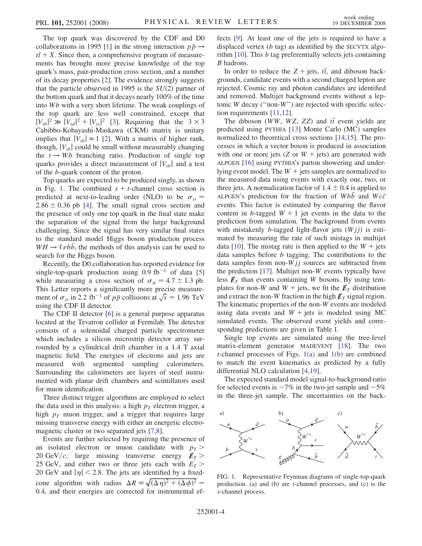The top quark was discovered by the CDF and D0 collaborations in 1995 [1] in the strong interaction  $p\bar{p} \rightarrow$  $t\bar{t} + X$ . Since then, a comprehensive program of measurements has brought more precise knowledge of the top quark's mass, pair-production cross section, and a number of its decay properties [2]. The evidence strongly suggests that the particle observed in 1995 is the  $SU(2)$  partner of the bottom quark and that it decays nearly 100% of the time into Wb with a very short lifetime. The weak couplings of the top quark are less well constrained, except that  $|V_{tb}|^2 \gg |V_{td}|^2 + |V_{ts}|^2$  [3]. Requiring that the 3 × 3 Cabibbo-Kobayashi-Maskawa (CKM) matrix is unitary implies that  $|V_{tb}| \approx 1$  [2]. With a matrix of higher rank, though,  $|V_{tb}|$  could be small without measurably changing the  $t \rightarrow Wb$  branching ratio. Production of single top quarks provides a direct measurement of  $|V_{tb}|$  and a test of the b-quark content of the proton.

Top quarks are expected to be produced singly, as shown in Fig. 1. The combined  $s + t$ -channel cross section is predicted at next-to-leading order (NLO) to be  $\sigma_{st}$  =  $2.86 \pm 0.36$  pb [4]. The small signal cross section and the presence of only one top quark in the final state make the separation of the signal from the large background challenging. Since the signal has very similar final states to the standard model Higgs boson production process  $WH \rightarrow \ell \nu b\bar{b}$ , the methods of this analysis can be used to search for the Higgs boson.

Recently, the D0 collaboration has reported evidence for single-top-quark production using  $0.9 \text{ fb}^{-1}$  of data [5] while measuring a cross section of  $\sigma_{st} = 4.7 \pm 1.3$  pb. This Letter reports a significantly more precise measurement of  $\sigma_{st}$  in 2.2 fb<sup>-1</sup> of  $p\bar{p}$  collisions at  $\sqrt{s}$  = 1.96 TeV using the CDF II detector.

The CDF II detector [6] is a general purpose apparatus located at the Tevatron collider at Fermilab. The detector consists of a solenoidal charged particle spectrometer which includes a silicon microstrip detector array surrounded by a cylindrical drift chamber in a 1.4 T axial magnetic field. The energies of electrons and jets are measured with segmented sampling calorimeters. Surrounding the calorimeters are layers of steel instrumented with planar drift chambers and scintillators used for muon identification.

Three distinct trigger algorithms are employed to select the data used in this analysis: a high  $p<sub>T</sub>$  electron trigger, a high  $p_T$  muon trigger, and a trigger that requires large missing transverse energy with either an energetic electromagnetic cluster or two separated jets [7,8].

Events are further selected by requiring the presence of an isolated electron or muon candidate with  $p_T$  > 20 GeV/c, large missing transverse energy  $E_T >$ 25 GeV, and either two or three jets each with  $E_T >$ 20 GeV and  $|\eta|$  < 2.8. The jets are identified by a fixedcone algorithm with radius  $\Delta R = \sqrt{(\Delta \eta)^2 + (\Delta \phi)^2}$ 0:4, and their energies are corrected for instrumental effects [9]. At least one of the jets is required to have a displaced vertex  $(b \text{ tag})$  as identified by the SECVTX algorithm  $[10]$ . This  $b$  tag preferentially selects jets containing B hadrons.

In order to reduce the  $Z + \text{jets}, t\bar{t}$ , and diboson backgrounds, candidate events with a second charged lepton are rejected. Cosmic ray and photon candidates are identified and removed. Multijet background events without a leptonic  $W$  decay ("non- $W$ ") are rejected with specific selection requirements [11,12].

The diboson (WW, WZ, ZZ) and  $t\bar{t}$  event yields are predicted using PYTHIA [13] Monte Carlo (MC) samples normalized to theoretical cross sections [14,15]. The processes in which a vector boson is produced in association with one or more jets (Z or  $W +$  jets) are generated with ALPGEN [16] using PYTHIA's parton showering and underlying event model. The  $W +$  jets samples are normalized to the measured data using events with exactly one, two, or three jets. A normalization factor of  $1.4 \pm 0.4$  is applied to ALPGEN's prediction for the fraction of  $Wbb$  and  $Wc\bar{c}$ events. This factor is estimated by comparing the flavor content in b-tagged  $W + 1$  jet events in the data to the prediction from simulation. The background from events with mistakenly *b*-tagged light-flavor jets  $(Wjj)$  is estimated by measuring the rate of such mistags in multijet data [10]. The mistag rate is then applied to the  $W +$  jets data samples before b tagging. The contributions to the data samples from non- $Wjj$  sources are subtracted from the prediction [17]. Multijet non-W events typically have less  $E_T$  than events containing W bosons. By using templates for non-W and  $W$  + jets, we fit the  $\not\hspace{-1.2mm}E_{T}$  distribution and extract the non-W fraction in the high  $\not\!\!E_T$  signal region. The kinematic properties of the non-W events are modeled using data events and  $W +$  jets is modeled using MC simulated events. The observed event yields and corresponding predictions are given in Table [I.](#page-4-0)

Single top events are simulated using the tree-level matrix-element generator MADEVENT [18]. The two *t*-channel processes of Figs.  $1(a)$  and  $1(b)$  are combined to match the event kinematics as predicted by a fully differential NLO calculation [4,19].

The expected standard model signal-to-background ratio for selected events is  $\sim$ 7% in the two-jet sample and  $\sim$ 5% in the three-jet sample. The uncertainties on the back-



FIG. 1. Representative Feynman diagrams of single-top-quark production. (a) and (b) are t-channel processes, and (c) is the s-channel process.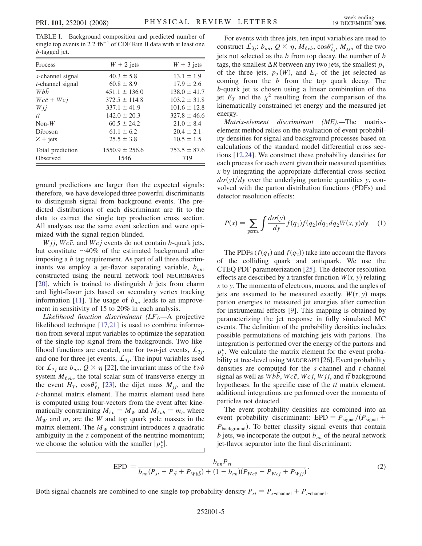<span id="page-4-0"></span>TABLE I. Background composition and predicted number of single top events in 2.2 fb<sup>-1</sup> of CDF Run II data with at least one b-tagged jet.

| Process                 | $W + 2$ jets       | $W + 3$ jets     |
|-------------------------|--------------------|------------------|
| s-channel signal        | $40.3 \pm 5.8$     | $13.1 \pm 1.9$   |
| $t$ -channel signal     | $60.8 \pm 8.9$     | $17.9 \pm 2.6$   |
| Whh                     | $451.1 \pm 136.0$  | $138.0 \pm 41.7$ |
| $Wc\bar{c} + Wc\bar{j}$ | $372.5 \pm 114.8$  | $103.2 \pm 31.8$ |
| Wii                     | $337.1 \pm 41.9$   | $101.6 \pm 12.8$ |
| $t\bar{t}$              | $142.0 \pm 20.3$   | $327.8 \pm 46.6$ |
| $Non-W$                 | $60.5 \pm 24.2$    | $21.0 \pm 8.4$   |
| Diboson                 | $61.1 \pm 6.2$     | $20.4 + 2.1$     |
| $Z + jets$              | $25.5 \pm 3.8$     | $10.5 \pm 1.5$   |
| Total prediction        | $1550.9 \pm 256.6$ | $753.5 \pm 87.6$ |
| Observed                | 1546               | 719              |

ground predictions are larger than the expected signals; therefore, we have developed three powerful discriminants to distinguish signal from background events. The predicted distributions of each discriminant are fit to the data to extract the single top production cross section. All analyses use the same event selection and were optimized with the signal region blinded.

 $Wjj$ ,  $Wc\bar{c}$ , and  $Wcj$  events do not contain b-quark jets, but constitute  $~10\%$  of the estimated background after imposing a b tag requirement. As part of all three discriminants we employ a jet-flavor separating variable,  $b_{nn}$ , constructed using the neural network tool NEUROBAYES [20], which is trained to distinguish  $b$  jets from charm and light-flavor jets based on secondary vertex tracking information [11]. The usage of  $b_{nn}$  leads to an improvement in sensitivity of 15 to 20% in each analysis.

Likelihood function discriminant (LF).—A projective likelihood technique [17,21] is used to combine information from several input variables to optimize the separation of the single top signal from the backgrounds. Two likelihood functions are created, one for two-jet events,  $\mathcal{L}_{2i}$ , and one for three-jet events,  $\mathcal{L}_{3j}$ . The input variables used for  $\mathcal{L}_{2j}$  are  $b_{nn}$ ,  $Q \times \eta$  [22], the invariant mass of the  $\ell \nu b$ system  $M_{\ell\nu b}$ , the total scalar sum of transverse energy in the event  $H_T$ , cos $\theta_{\ell i}^*$  [23], the dijet mass  $M_{ij}$ , and the t-channel matrix element. The matrix element used here is computed using four-vectors from the event after kinematically constraining  $M_{\ell \nu} = M_W$  and  $M_{\ell \nu b} = m_t$ , where  $M_W$  and  $m_t$  are the W and top quark pole masses in the matrix element. The  $M_W$  constraint introduces a quadratic ambiguity in the z component of the neutrino momentum; we choose the solution with the smaller  $|p_z^{\nu}|$ .

For events with three jets, ten input variables are used to construct  $\mathcal{L}_{3j}$ :  $b_{nn}$ ,  $Q \times \eta$ ,  $M_{\ell\nu b}$ ,  $\cos \theta_{\ell j}^*$ ,  $M_{jjn}$  of the two jets not selected as the  $b$  from top decay, the number of  $b$ tags, the smallest  $\Delta R$  between any two jets, the smallest  $p_T$ of the three jets,  $p_T(W)$ , and  $E_T$  of the jet selected as coming from the  $b$  from the top quark decay. The b-quark jet is chosen using a linear combination of the jet  $E_T$  and the  $\chi^2$  resulting from the comparison of the kinematically constrained jet energy and the measured jet energy.

Matrix-element discriminant (ME).—The matrixelement method relies on the evaluation of event probability densities for signal and background processes based on calculations of the standard model differential cross sections [12,24]. We construct these probability densities for each process for each event given their measured quantities x by integrating the appropriate differential cross section  $d\sigma(y)/dy$  over the underlying partonic quantities y, convolved with the parton distribution functions (PDFs) and detector resolution effects:

$$
P(x) = \sum_{\text{perm.}} \int \frac{d\sigma(y)}{dy} f(q_1) f(q_2) dq_1 dq_2 W(x, y) dy. \quad (1)
$$

The PDFs  $(f(q_1)$  and  $f(q_2))$  take into account the flavors of the colliding quark and antiquark. We use the CTEQ PDF parameterization [25]. The detector resolution effects are described by a transfer function  $W(x, y)$  relating  $x$  to  $y$ . The momenta of electrons, muons, and the angles of jets are assumed to be measured exactly.  $W(x, y)$  maps parton energies to measured jet energies after correction for instrumental effects [9]. This mapping is obtained by parameterizing the jet response in fully simulated MC events. The definition of the probability densities includes possible permutations of matching jets with partons. The integration is performed over the energy of the partons and  $p_z^{\nu}$ . We calculate the matrix element for the event probability at tree-level using MADGRAPH [26]. Event probability densities are computed for the s-channel and t-channel signal as well as  $\overline{W}b\overline{b}$ ,  $\overline{W}c\overline{c}$ ,  $\overline{W}c\overline{j}$ ,  $\overline{W}j\overline{j}$ , and  $t\overline{t}$  background hypotheses. In the specific case of the  $t\bar{t}$  matrix element, additional integrations are performed over the momenta of particles not detected.

The event probability densities are combined into an event probability discriminant: EPD =  $P_{signal}/(P_{signal}$  +  $P_{\text{background}}$ ). To better classify signal events that contain  $b$  jets, we incorporate the output  $b_{nn}$  of the neural network jet-flavor separator into the final discriminant:

$$
EPD = \frac{b_{nn}P_{st}}{b_{nn}(P_{st} + P_{t\bar{t}} + P_{Wb\bar{b}}) + (1 - b_{nn})(P_{Wc\bar{c}} + P_{Wcj} + P_{Wjj})}.
$$
\n(2)

Both signal channels are combined to one single top probability density  $P_{st} = P_{s-\text{channel}} + P_{t-\text{channel}}$ .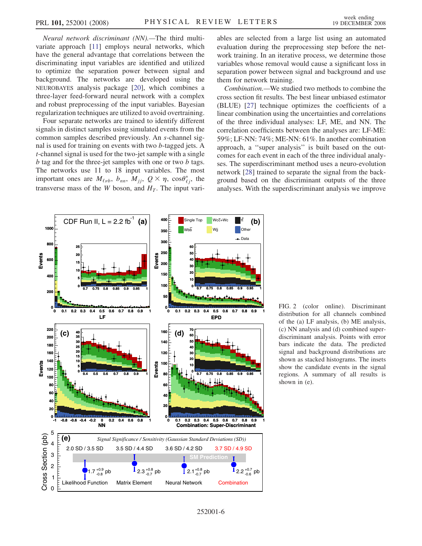<span id="page-5-0"></span>Neural network discriminant (NN).—The third multivariate approach [11] employs neural networks, which have the general advantage that correlations between the discriminating input variables are identified and utilized to optimize the separation power between signal and background. The networks are developed using the NEUROBAYES analysis package [20], which combines a three-layer feed-forward neural network with a complex and robust preprocessing of the input variables. Bayesian regularization techniques are utilized to avoid overtraining.

Four separate networks are trained to identify different signals in distinct samples using simulated events from the common samples described previously. An s-channel signal is used for training on events with two b-tagged jets. A t-channel signal is used for the two-jet sample with a single b tag and for the three-jet samples with one or two b tags. The networks use 11 to 18 input variables. The most important ones are  $M_{\ell\nu b}$ ,  $b_{nn}$ ,  $M_{jj}$ ,  $Q \times \eta$ ,  $\cos\theta_{\ell j}^*$ , the transverse mass of the W boson, and  $H_T$ . The input variables are selected from a large list using an automated evaluation during the preprocessing step before the network training. In an iterative process, we determine those variables whose removal would cause a significant loss in separation power between signal and background and use them for network training.

Combination.—We studied two methods to combine the cross section fit results. The best linear unbiased estimator (BLUE) [27] technique optimizes the coefficients of a linear combination using the uncertainties and correlations of the three individual analyses: LF, ME, and NN. The correlation coefficients between the analyses are: LF-ME: 59%; LF-NN: 74%; ME-NN: 61%. In another combination approach, a ''super analysis'' is built based on the outcomes for each event in each of the three individual analyses. The superdiscriminant method uses a neuro-evolution network [28] trained to separate the signal from the background based on the discriminant outputs of the three analyses. With the superdiscriminant analysis we improve



FIG. 2 (color online). Discriminant distribution for all channels combined of the (a) LF analysis, (b) ME analysis, (c) NN analysis and (d) combined superdiscriminant analysis. Points with error bars indicate the data. The predicted signal and background distributions are shown as stacked histograms. The insets show the candidate events in the signal regions. A summary of all results is shown in (e).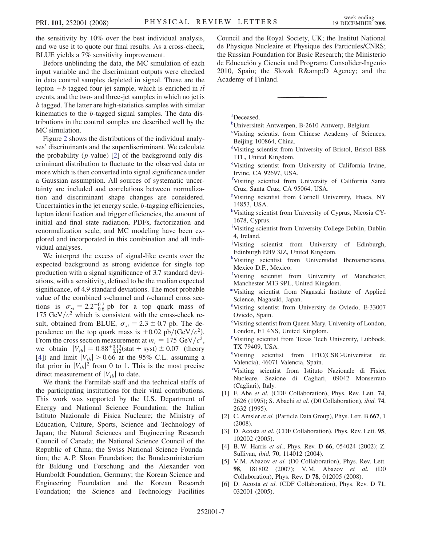<span id="page-6-0"></span>the sensitivity by 10% over the best individual analysis, and we use it to quote our final results. As a cross-check, BLUE yields a 7% sensitivity improvement.

Before unblinding the data, the MC simulation of each input variable and the discriminant outputs were checked in data control samples depleted in signal. These are the lepton + *b*-tagged four-jet sample, which is enriched in  $t\bar{t}$ events, and the two- and three-jet samples in which no jet is b tagged. The latter are high-statistics samples with similar kinematics to the b-tagged signal samples. The data distributions in the control samples are described well by the MC simulation.

Figure [2](#page-5-0) shows the distributions of the individual analyses' discriminants and the superdiscriminant. We calculate the probability  $(p$ -value) [2] of the background-only discriminant distribution to fluctuate to the observed data or more which is then converted into signal significance under a Gaussian assumption. All sources of systematic uncertainty are included and correlations between normalization and discriminant shape changes are considered. Uncertainties in the jet energy scale,  $b$ -tagging efficiencies, lepton identification and trigger efficiencies, the amount of initial and final state radiation, PDFs, factorization and renormalization scale, and MC modeling have been explored and incorporated in this combination and all individual analyses.

We interpret the excess of signal-like events over the expected background as strong evidence for single top production with a signal significance of 3.7 standard deviations, with a sensitivity, defined to be the median expected significance, of 4.9 standard deviations. The most probable value of the combined s-channel and t-channel cross sections is  $\sigma_{st} = 2.2^{+0.7}_{-0.6}$  pb for a top quark mass of 175 GeV/ $c^2$  which is consistent with the cross-check result, obtained from BLUE,  $\sigma_{st} = 2.3 \pm 0.7$  pb. The dependence on the top quark mass is  $+0.02$  pb/(GeV/ $c^2$ ). From the cross section measurement at  $m_t = 175 \text{ GeV}/c^2$ , we obtain  $|V_{tb}| = 0.88^{+0.13}_{-0.12}$  (stat + syst)  $\pm 0.07$  (theory [4]) and limit  $|V_{tb}| > 0.66$  at the 95% C.L. assuming a flat prior in  $|V_{tb}|^2$  from 0 to 1. This is the most precise direct measurement of  $|V_{th}|$  to date.

We thank the Fermilab staff and the technical staffs of the participating institutions for their vital contributions. This work was supported by the U.S. Department of Energy and National Science Foundation; the Italian Istituto Nazionale di Fisica Nucleare; the Ministry of Education, Culture, Sports, Science and Technology of Japan; the Natural Sciences and Engineering Research Council of Canada; the National Science Council of the Republic of China; the Swiss National Science Foundation; the A. P. Sloan Foundation; the Bundesministerium für Bildung und Forschung and the Alexander von Humboldt Foundation, Germany; the Korean Science and Engineering Foundation and the Korean Research Foundation; the Science and Technology Facilities

Council and the Royal Society, UK; the Institut National de Physique Nucleaire et Physique des Particules/CNRS; the Russian Foundation for Basic Research; the Ministerio de Educación y Ciencia and Programa Consolider-Ingenio 2010, Spain; the Slovak R& D Agency; and the Academy of Finland.

a Deceased.

- <sup>b</sup>Universiteit Antwerpen, B-2610 Antwerp, Belgium
- c Visiting scientist from Chinese Academy of Sciences, Beijing 100864, China.
- d Visiting scientist from University of Bristol, Bristol BS8 1TL, United Kingdom.
- e Visiting scientist from University of California Irvine, Irvine, CA 92697, USA.
- f Visiting scientist from University of California Santa Cruz, Santa Cruz, CA 95064, USA.
- g Visiting scientist from Cornell University, Ithaca, NY 14853, USA.
- hVisiting scientist from University of Cyprus, Nicosia CY-1678, Cyprus.
- <sup>i</sup>Visiting scientist from University College Dublin, Dublin 4, Ireland.
- <sup>j</sup>Visiting scientist from University of Edinburgh, Edinburgh EH9 3JZ, United Kingdom.
- k Visiting scientist from Universidad Iberoamericana, Mexico D.F., Mexico.
- <sup>1</sup>Visiting scientist from University of Manchester, Manchester M13 9PL, United Kingdom.
- mVisiting scientist from Nagasaki Institute of Applied Science, Nagasaki, Japan.
- n Visiting scientist from University de Oviedo, E-33007 Oviedo, Spain.
- <sup>o</sup>Visiting scientist from Queen Mary, University of London, London, E1 4NS, United Kingdom.
- p Visiting scientist from Texas Tech University, Lubbock, TX 79409, USA.
- <sup>q</sup>Visiting scientist from IFIC(CSIC-Universitat de Valencia), 46071 Valencia, Spain.

r Visiting scientist from Istituto Nazionale di Fisica Nucleare, Sezione di Cagliari, 09042 Monserrato (Cagliari), Italy.

- [1] F. Abe et al. (CDF Collaboration), Phys. Rev. Lett. 74, 2626 (1995); S. Abachi et al. (D0 Collaboration), ibid. 74, 2632 (1995).
- [2] C. Amsler et al. (Particle Data Group), Phys. Lett. B 667, 1 (2008).
- [3] D. Acosta et al. (CDF Collaboration), Phys. Rev. Lett. 95, 102002 (2005).
- [4] B. W. Harris et al., Phys. Rev. D 66, 054024 (2002); Z. Sullivan, ibid. 70, 114012 (2004).
- [5] V.M. Abazov et al. (D0 Collaboration), Phys. Rev. Lett. 98, 181802 (2007); V. M. Abazov et al. (D0 Collaboration), Phys. Rev. D 78, 012005 (2008).
- [6] D. Acosta et al. (CDF Collaboration), Phys. Rev. D 71, 032001 (2005).